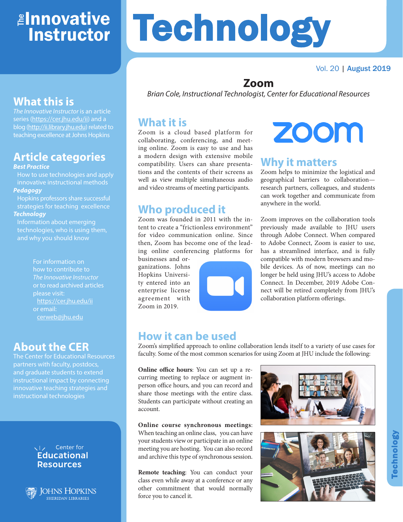# <mark>≇Innovative</mark> Instructor

#### Vol. 20 | August 2019

# **What this is**

*The Innovative Instructor* is an article series (https://cer.jhu.edu/ii) and a blog (http://ii.library.jhu.edu) related to teaching excellence at Johns Hopkins

# **Article categories**

#### *Best Practice*

How to use technologies and apply innovative instructional methods *Pedagogy*

Hopkins professors share successful strategies for teaching excellence *Technology*

Information about emerging technologies, who is using them, and why you should know

> For information on how to contribute to *The Innovative Instructor* or to read archived articles please visit: https://cer.jhu.edu/ii or email: cerweb@jhu.edu

#### **About the CER**

The Center for Educational Resources partners with faculty, postdocs, and graduate students to extend instructional impact by connecting innovative teaching strategies and instructional technologies

#### $\sqrt{7}$  Center for **Educational Resources**



JOHNS HOPKINS **SHERIDAN LIBRARIES** 

# **Technology**

# **Zoom**

*Brian Cole, Instructional Technologist, Center for Educational Resources*

#### **What it is**

Zoom is a cloud based platform for collaborating, conferencing, and meeting online. Zoom is easy to use and has a modern design with extensive mobile compatibility. Users can share presentations and the contents of their screens as well as view multiple simultaneous audio and video streams of meeting participants.

### **Who produced it**

Zoom was founded in 2011 with the intent to create a "frictionless environment" for video communication online. Since then, Zoom has become one of the leading online conferencing platforms for businesses and or-

ganizations. Johns Hopkins University entered into an enterprise license agreement with Zoom in 2019.



# **ZOOM**

#### **Why it matters**

Zoom helps to minimize the logistical and geographical barriers to collaboration research partners, colleagues, and students can work together and communicate from anywhere in the world.

Zoom improves on the collaboration tools previously made available to JHU users through Adobe Connect. When compared to Adobe Connect, Zoom is easier to use, has a streamlined interface, and is fully compatible with modern browsers and mobile devices. As of now, meetings can no longer be held using JHU's access to Adobe Connect. In December, 2019 Adobe Connect will be retired completely from JHU's collaboration platform offerings.

#### **How it can be used**

Zoom's simplified approach to online collaboration lends itself to a variety of use cases for faculty. Some of the most common scenarios for using Zoom at JHU include the following:

**Online office hours**: You can set up a recurring meeting to replace or augment inperson office hours, and you can record and share those meetings with the entire class. Students can participate without creating an account.

**Online course synchronous meetings**: When teaching an online class, you can have your students view or participate in an online meeting you are hosting. You can also record and archive this type of synchronous session.

**Remote teaching**: You can conduct your class even while away at a conference or any other commitment that would normally force you to cancel it.